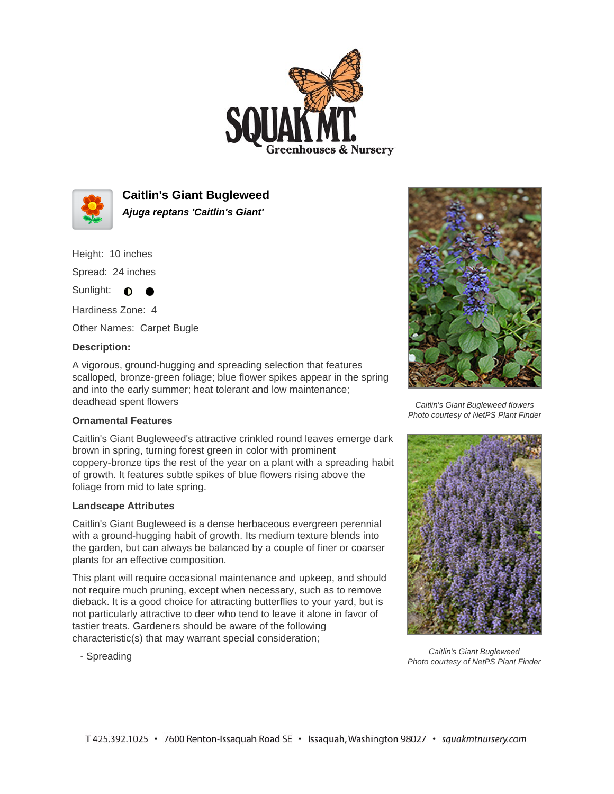



**Caitlin's Giant Bugleweed Ajuga reptans 'Caitlin's Giant'**

Height: 10 inches

Spread: 24 inches

Sunlight: **O** 

Hardiness Zone: 4

Other Names: Carpet Bugle

## **Description:**

A vigorous, ground-hugging and spreading selection that features scalloped, bronze-green foliage; blue flower spikes appear in the spring and into the early summer; heat tolerant and low maintenance; deadhead spent flowers

## **Ornamental Features**

Caitlin's Giant Bugleweed's attractive crinkled round leaves emerge dark brown in spring, turning forest green in color with prominent coppery-bronze tips the rest of the year on a plant with a spreading habit of growth. It features subtle spikes of blue flowers rising above the foliage from mid to late spring.

## **Landscape Attributes**

Caitlin's Giant Bugleweed is a dense herbaceous evergreen perennial with a ground-hugging habit of growth. Its medium texture blends into the garden, but can always be balanced by a couple of finer or coarser plants for an effective composition.

This plant will require occasional maintenance and upkeep, and should not require much pruning, except when necessary, such as to remove dieback. It is a good choice for attracting butterflies to your yard, but is not particularly attractive to deer who tend to leave it alone in favor of tastier treats. Gardeners should be aware of the following characteristic(s) that may warrant special consideration;

- Spreading



Caitlin's Giant Bugleweed flowers Photo courtesy of NetPS Plant Finder



Caitlin's Giant Bugleweed Photo courtesy of NetPS Plant Finder